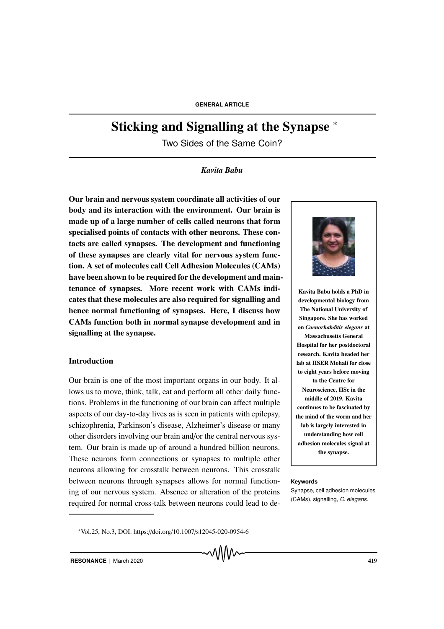# Sticking and Signalling at the Synapse <sup>∗</sup>

Two Sides of the Same Coin?

#### *Kavita Babu*

Our brain and nervous system coordinate all activities of our body and its interaction with the environment. Our brain is made up of a large number of cells called neurons that form specialised points of contacts with other neurons. These contacts are called synapses. The development and functioning of these synapses are clearly vital for nervous system function. A set of molecules call Cell Adhesion Molecules (CAMs) have been shown to be required for the development and maintenance of synapses. More recent work with CAMs indicates that these molecules are also required for signalling and hence normal functioning of synapses. Here, I discuss how CAMs function both in normal synapse development and in signalling at the synapse.

## Introduction

Our brain is one of the most important organs in our body. It allows us to move, think, talk, eat and perform all other daily functions. Problems in the functioning of our brain can affect multiple aspects of our day-to-day lives as is seen in patients with epilepsy, schizophrenia, Parkinson's disease, Alzheimer's disease or many other disorders involving our brain and/or the central nervous system. Our brain is made up of around a hundred billion neurons. These neurons form connections or synapses to multiple other neurons allowing for crosstalk between neurons. This crosstalk between neurons through synapses allows for normal function- **Keywords** ing of our nervous system. Absence or alteration of the proteins required for normal cross-talk between neurons could lead to de-



Kavita Babu holds a PhD in developmental biology from The National University of Singapore. She has worked on *Caenorhabditis elegans* at

Massachusetts General Hospital for her postdoctoral research. Kavita headed her lab at IISER Mohali for close to eight years before moving to the Centre for Neuroscience, IISc in the middle of 2019. Kavita continues to be fascinated by the mind of the worm and her lab is largely interested in understanding how cell adhesion molecules signal at the synapse.

Synapse, cell adhesion molecules (CAMs), signalling, C. elegans.

<sup>∗</sup>Vol.25, No.3, DOI: https://doi.org/10.1007/s12045-020-0954-6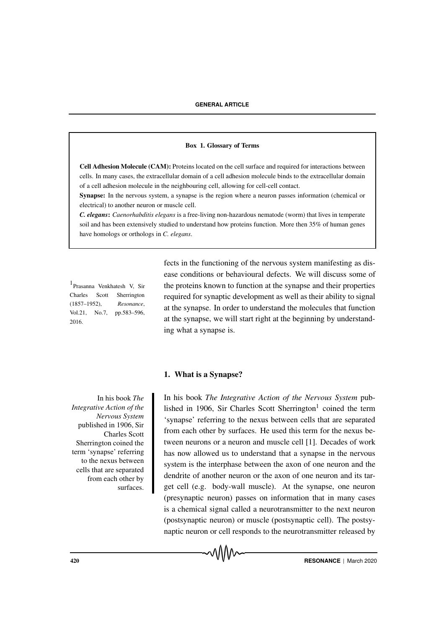#### Box 1. Glossary of Terms

Cell Adhesion Molecule (CAM): Proteins located on the cell surface and required for interactions between cells. In many cases, the extracellular domain of a cell adhesion molecule binds to the extracellular domain of a cell adhesion molecule in the neighbouring cell, allowing for cell-cell contact.

Synapse: In the nervous system, a synapse is the region where a neuron passes information (chemical or electrical) to another neuron or muscle cell.

*C. elegans*: *Caenorhabditis elegans* is a free-living non-hazardous nematode (worm) that lives in temperate soil and has been extensively studied to understand how proteins function. More then 35% of human genes have homologs or orthologs in *C. elegans*.

Charles Scott Sherrington (1857–1952), *Resonance*, Vol.21, No.7, pp.583–596, 2016.

fects in the functioning of the nervous system manifesting as disease conditions or behavioural defects. We will discuss some of <sup>1</sup> Prasanna Venkhatesh V, Sir the proteins known to function at the synapse and their properties required for synaptic development as well as their ability to signal at the synapse. In order to understand the molecules that function at the synapse, we will start right at the beginning by understanding what a synapse is.

#### 1. What is a Synapse?

In his book *The Integrative Action of the Nervous System* published in 1906, Sir Charles Scott Sherrington coined the term 'synapse' referring to the nexus between cells that are separated from each other by surfaces.

In his book *The Integrative Action of the Nervous System* published in 1906, Sir Charles Scott Sherrington<sup>1</sup> coined the term 'synapse' referring to the nexus between cells that are separated from each other by surfaces. He used this term for the nexus between neurons or a neuron and muscle cell [1]. Decades of work has now allowed us to understand that a synapse in the nervous system is the interphase between the axon of one neuron and the dendrite of another neuron or the axon of one neuron and its target cell (e.g. body-wall muscle). At the synapse, one neuron (presynaptic neuron) passes on information that in many cases is a chemical signal called a neurotransmitter to the next neuron (postsynaptic neuron) or muscle (postsynaptic cell). The postsynaptic neuron or cell responds to the neurotransmitter released by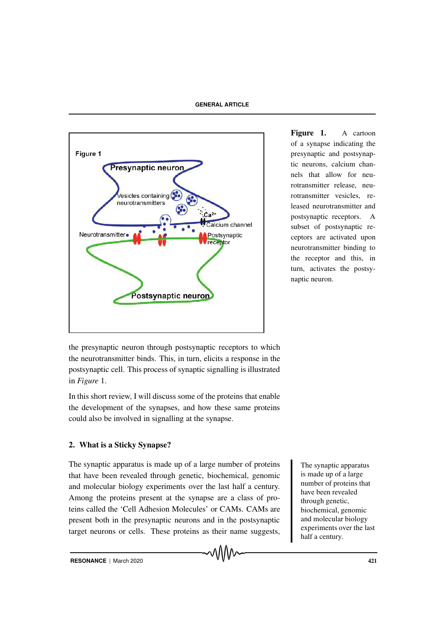

Figure 1. A cartoon of a synapse indicating the presynaptic and postsynaptic neurons, calcium channels that allow for neurotransmitter release, neurotransmitter vesicles, released neurotransmitter and postsynaptic receptors. A subset of postsynaptic receptors are activated upon neurotransmitter binding to the receptor and this, in turn, activates the postsynaptic neuron.

the presynaptic neuron through postsynaptic receptors to which the neurotransmitter binds. This, in turn, elicits a response in the postsynaptic cell. This process of synaptic signalling is illustrated in *Figure* 1.

In this short review, I will discuss some of the proteins that enable the development of the synapses, and how these same proteins could also be involved in signalling at the synapse.

# 2. What is a Sticky Synapse?

The synaptic apparatus is made up of a large number of proteins The synaptic apparatus that have been revealed through genetic, biochemical, genomic and molecular biology experiments over the last half a century. Among the proteins present at the synapse are a class of proteins called the 'Cell Adhesion Molecules' or CAMs. CAMs are present both in the presynaptic neurons and in the postsynaptic target neurons or cells. These proteins as their name suggests,

is made up of a large number of proteins that have been revealed through genetic, biochemical, genomic and molecular biology experiments over the last half a century.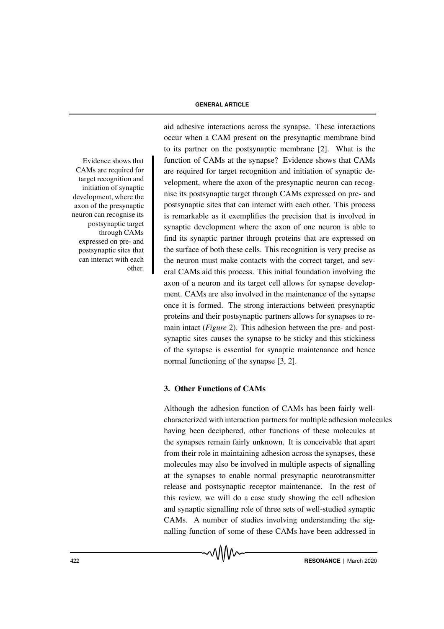CAMs are required for target recognition and initiation of synaptic development, where the axon of the presynaptic neuron can recognise its postsynaptic target through CAMs expressed on pre- and postsynaptic sites that can interact with each other.

aid adhesive interactions across the synapse. These interactions occur when a CAM present on the presynaptic membrane bind to its partner on the postsynaptic membrane [2]. What is the Evidence shows that **function of CAMs** at the synapse? Evidence shows that CAMs are required for target recognition and initiation of synaptic development, where the axon of the presynaptic neuron can recognise its postsynaptic target through CAMs expressed on pre- and postsynaptic sites that can interact with each other. This process is remarkable as it exemplifies the precision that is involved in synaptic development where the axon of one neuron is able to find its synaptic partner through proteins that are expressed on the surface of both these cells. This recognition is very precise as the neuron must make contacts with the correct target, and several CAMs aid this process. This initial foundation involving the axon of a neuron and its target cell allows for synapse development. CAMs are also involved in the maintenance of the synapse once it is formed. The strong interactions between presynaptic proteins and their postsynaptic partners allows for synapses to remain intact (*Figure* 2). This adhesion between the pre- and postsynaptic sites causes the synapse to be sticky and this stickiness of the synapse is essential for synaptic maintenance and hence normal functioning of the synapse [3, 2].

## 3. Other Functions of CAMs

Although the adhesion function of CAMs has been fairly wellcharacterized with interaction partners for multiple adhesion molecules having been deciphered, other functions of these molecules at the synapses remain fairly unknown. It is conceivable that apart from their role in maintaining adhesion across the synapses, these molecules may also be involved in multiple aspects of signalling at the synapses to enable normal presynaptic neurotransmitter release and postsynaptic receptor maintenance. In the rest of this review, we will do a case study showing the cell adhesion and synaptic signalling role of three sets of well-studied synaptic CAMs. A number of studies involving understanding the signalling function of some of these CAMs have been addressed in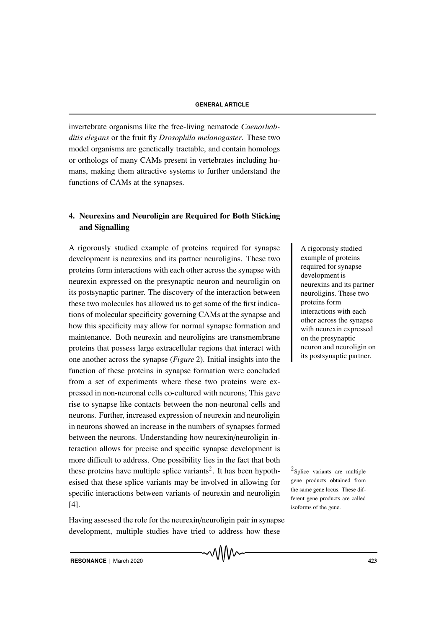invertebrate organisms like the free-living nematode *Caenorhabditis elegans* or the fruit fly *Drosophila melanogaster*. These two model organisms are genetically tractable, and contain homologs or orthologs of many CAMs present in vertebrates including humans, making them attractive systems to further understand the functions of CAMs at the synapses.

# 4. Neurexins and Neuroligin are Required for Both Sticking and Signalling

A rigorously studied example of proteins required for synapse A rigorously studied development is neurexins and its partner neuroligins. These two proteins form interactions with each other across the synapse with neurexin expressed on the presynaptic neuron and neuroligin on its postsynaptic partner. The discovery of the interaction between these two molecules has allowed us to get some of the first indications of molecular specificity governing CAMs at the synapse and how this specificity may allow for normal synapse formation and maintenance. Both neurexin and neuroligins are transmembrane proteins that possess large extracellular regions that interact with one another across the synapse (*Figure* 2). Initial insights into the function of these proteins in synapse formation were concluded from a set of experiments where these two proteins were expressed in non-neuronal cells co-cultured with neurons; This gave rise to synapse like contacts between the non-neuronal cells and neurons. Further, increased expression of neurexin and neuroligin in neurons showed an increase in the numbers of synapses formed between the neurons. Understanding how neurexin/neuroligin interaction allows for precise and specific synapse development is more difficult to address. One possibility lies in the fact that both these proteins have multiple splice variants<sup>2</sup>. It has been hypoth-  $\frac{2}{\text{Splice variants}}$  are multiple esised that these splice variants may be involved in allowing for specific interactions between variants of neurexin and neuroligin [4].

Having assessed the role for the neurexin/neuroligin pair in synapse development, multiple studies have tried to address how these

example of proteins required for synapse development is neurexins and its partner neuroligins. These two proteins form interactions with each other across the synapse with neurexin expressed on the presynaptic neuron and neuroligin on its postsynaptic partner.

gene products obtained from the same gene locus. These different gene products are called isoforms of the gene.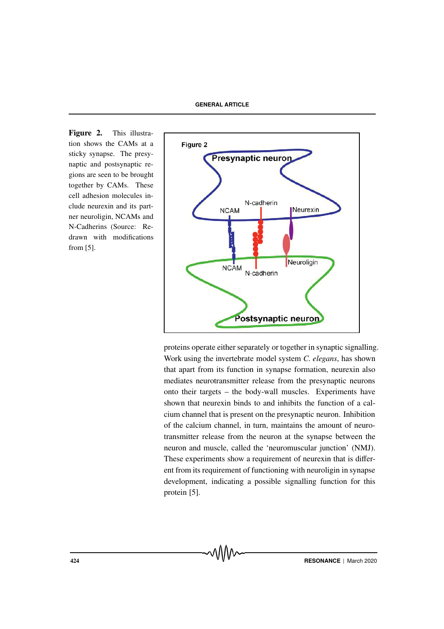Figure 2. This illustration shows the CAMs at a sticky synapse. The presynaptic and postsynaptic regions are seen to be brought together by CAMs. These cell adhesion molecules include neurexin and its partner neuroligin, NCAMs and N-Cadherins (Source: Redrawn with modifications from [5].



proteins operate either separately or together in synaptic signalling. Work using the invertebrate model system *C. elegans*, has shown that apart from its function in synapse formation, neurexin also mediates neurotransmitter release from the presynaptic neurons onto their targets – the body-wall muscles. Experiments have shown that neurexin binds to and inhibits the function of a calcium channel that is present on the presynaptic neuron. Inhibition of the calcium channel, in turn, maintains the amount of neurotransmitter release from the neuron at the synapse between the neuron and muscle, called the 'neuromuscular junction' (NMJ). These experiments show a requirement of neurexin that is different from its requirement of functioning with neuroligin in synapse development, indicating a possible signalling function for this protein [5].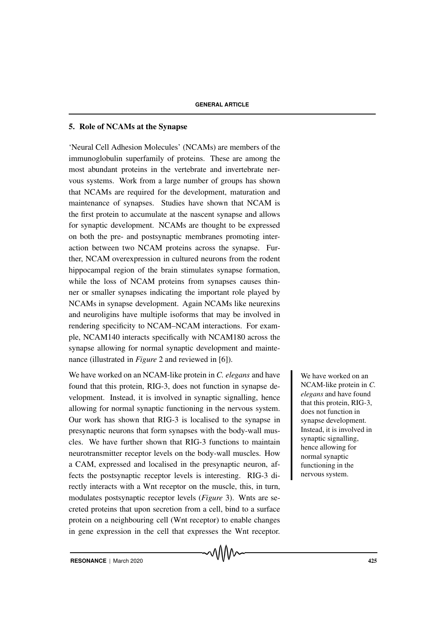#### 5. Role of NCAMs at the Synapse

'Neural Cell Adhesion Molecules' (NCAMs) are members of the immunoglobulin superfamily of proteins. These are among the most abundant proteins in the vertebrate and invertebrate nervous systems. Work from a large number of groups has shown that NCAMs are required for the development, maturation and maintenance of synapses. Studies have shown that NCAM is the first protein to accumulate at the nascent synapse and allows for synaptic development. NCAMs are thought to be expressed on both the pre- and postsynaptic membranes promoting interaction between two NCAM proteins across the synapse. Further, NCAM overexpression in cultured neurons from the rodent hippocampal region of the brain stimulates synapse formation, while the loss of NCAM proteins from synapses causes thinner or smaller synapses indicating the important role played by NCAMs in synapse development. Again NCAMs like neurexins and neuroligins have multiple isoforms that may be involved in rendering specificity to NCAM–NCAM interactions. For example, NCAM140 interacts specifically with NCAM180 across the synapse allowing for normal synaptic development and maintenance (illustrated in *Figure* 2 and reviewed in [6]).

We have worked on an NCAM-like protein in *C. elegans* and have We have worked on an found that this protein, RIG-3, does not function in synapse development. Instead, it is involved in synaptic signalling, hence allowing for normal synaptic functioning in the nervous system. Our work has shown that RIG-3 is localised to the synapse in presynaptic neurons that form synapses with the body-wall muscles. We have further shown that RIG-3 functions to maintain neurotransmitter receptor levels on the body-wall muscles. How a CAM, expressed and localised in the presynaptic neuron, affects the postsynaptic receptor levels is interesting. RIG-3 directly interacts with a Wnt receptor on the muscle, this, in turn, modulates postsynaptic receptor levels (*Figure* 3). Wnts are secreted proteins that upon secretion from a cell, bind to a surface protein on a neighbouring cell (Wnt receptor) to enable changes in gene expression in the cell that expresses the Wnt receptor.

NCAM-like protein in *C. elegans* and have found that this protein, RIG-3, does not function in synapse development. Instead, it is involved in synaptic signalling, hence allowing for normal synaptic functioning in the nervous system.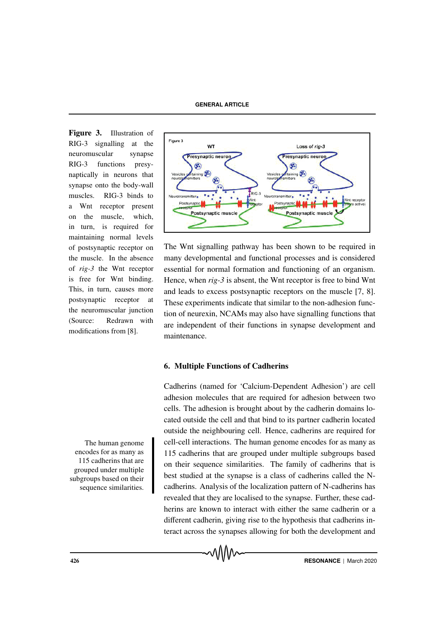Figure 3. Illustration of RIG-3 signalling at the neuromuscular synapse RIG-3 functions presynaptically in neurons that synapse onto the body-wall muscles. RIG-3 binds to a Wnt receptor present on the muscle, which, in turn, is required for maintaining normal levels of postsynaptic receptor on the muscle. In the absence of *rig-3* the Wnt receptor is free for Wnt binding. This, in turn, causes more postsynaptic receptor at the neuromuscular junction (Source: Redrawn with modifications from [8].

encodes for as many as 115 cadherins that are grouped under multiple subgroups based on their sequence similarities.



The Wnt signalling pathway has been shown to be required in many developmental and functional processes and is considered essential for normal formation and functioning of an organism. Hence, when *rig-3* is absent, the Wnt receptor is free to bind Wnt and leads to excess postsynaptic receptors on the muscle [7, 8]. These experiments indicate that similar to the non-adhesion function of neurexin, NCAMs may also have signalling functions that are independent of their functions in synapse development and maintenance.

#### 6. Multiple Functions of Cadherins

Cadherins (named for 'Calcium-Dependent Adhesion') are cell adhesion molecules that are required for adhesion between two cells. The adhesion is brought about by the cadherin domains located outside the cell and that bind to its partner cadherin located outside the neighbouring cell. Hence, cadherins are required for The human genome cell-cell interactions. The human genome encodes for as many as 115 cadherins that are grouped under multiple subgroups based on their sequence similarities. The family of cadherins that is best studied at the synapse is a class of cadherins called the Ncadherins. Analysis of the localization pattern of N-cadherins has revealed that they are localised to the synapse. Further, these cadherins are known to interact with either the same cadherin or a different cadherin, giving rise to the hypothesis that cadherins interact across the synapses allowing for both the development and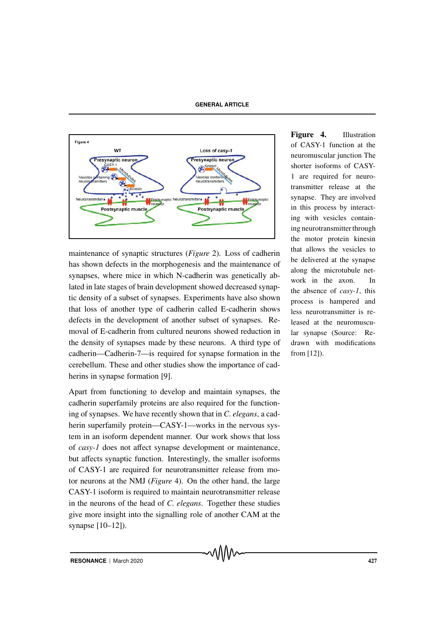

maintenance of synaptic structures (*Figure* 2). Loss of cadherin has shown defects in the morphogenesis and the maintenance of synapses, where mice in which N-cadherin was genetically ablated in late stages of brain development showed decreased synaptic density of a subset of synapses. Experiments have also shown that loss of another type of cadherin called E-cadherin shows defects in the development of another subset of synapses. Removal of E-cadherin from cultured neurons showed reduction in the density of synapses made by these neurons. A third type of cadherin—Cadherin-7—is required for synapse formation in the cerebellum. These and other studies show the importance of cadherins in synapse formation [9].

Apart from functioning to develop and maintain synapses, the cadherin superfamily proteins are also required for the functioning of synapses. We have recently shown that in *C. elegans*, a cadherin superfamily protein—CASY-1—works in the nervous system in an isoform dependent manner. Our work shows that loss of *casy-1* does not affect synapse development or maintenance, but affects synaptic function. Interestingly, the smaller isoforms of CASY-1 are required for neurotransmitter release from motor neurons at the NMJ (*Figure* 4). On the other hand, the large CASY-1 isoform is required to maintain neurotransmitter release in the neurons of the head of *C. elegans*. Together these studies give more insight into the signalling role of another CAM at the synapse [10–12]).

Figure 4. Illustration of CASY-1 function at the neuromuscular junction The shorter isoforms of CASY-1 are required for neurotransmitter release at the synapse. They are involved in this process by interacting with vesicles containing neurotransmitter through the motor protein kinesin that allows the vesicles to be delivered at the synapse along the microtubule network in the axon. In the absence of *casy-1*, this process is hampered and less neurotransmitter is released at the neuromuscular synapse (Source: Redrawn with modifications from [12]).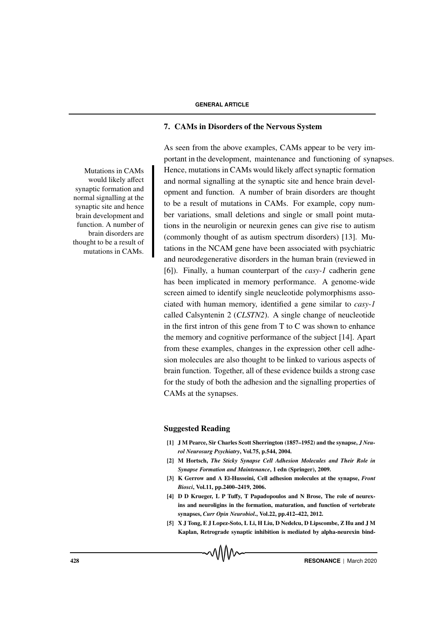#### 7. CAMs in Disorders of the Nervous System

would likely affect synaptic formation and normal signalling at the synaptic site and hence brain development and function. A number of brain disorders are thought to be a result of mutations in CAMs.

As seen from the above examples, CAMs appear to be very important in the development, maintenance and functioning of synapses. Mutations in CAMs Hence, mutations in CAMs would likely affect synaptic formation and normal signalling at the synaptic site and hence brain development and function. A number of brain disorders are thought to be a result of mutations in CAMs. For example, copy number variations, small deletions and single or small point mutations in the neuroligin or neurexin genes can give rise to autism (commonly thought of as autism spectrum disorders) [13]. Mutations in the NCAM gene have been associated with psychiatric and neurodegenerative disorders in the human brain (reviewed in [6]). Finally, a human counterpart of the *casy-1* cadherin gene has been implicated in memory performance. A genome-wide screen aimed to identify single neucleotide polymorphisms associated with human memory, identified a gene similar to *casy-1* called Calsyntenin 2 (*CLSTN2*). A single change of neucleotide in the first intron of this gene from T to C was shown to enhance the memory and cognitive performance of the subject [14]. Apart from these examples, changes in the expression other cell adhesion molecules are also thought to be linked to various aspects of brain function. Together, all of these evidence builds a strong case for the study of both the adhesion and the signalling properties of CAMs at the synapses.

# Suggested Reading

- [1] J M Pearce, Sir Charles Scott Sherrington (1857–1952) and the synapse, *J Neurol Neurosurg Psychiatry*, Vol.75, p.544, 2004.
- [2] M Hortsch, *The Sticky Synapse Cell Adhesion Molecules and Their Role in Synapse Formation and Maintenance*, 1 edn (Springer), 2009.
- [3] K Gerrow and A El-Husseini, Cell adhesion molecules at the synapse, *Front Biosci*, Vol.11, pp.2400–2419, 2006.
- [4] D D Krueger, L P Tuffy, T Papadopoulos and N Brose, The role of neurexins and neuroligins in the formation, maturation, and function of vertebrate synapses, *Curr Opin Neurobiol*., Vol.22, pp.412–422, 2012.
- [5] X J Tong, E J Lopez-Soto, L Li, H Liu, D Nedelcu, D Lipscombe, Z Hu and J M Kaplan, Retrograde synaptic inhibition is mediated by alpha-neurexin bind-